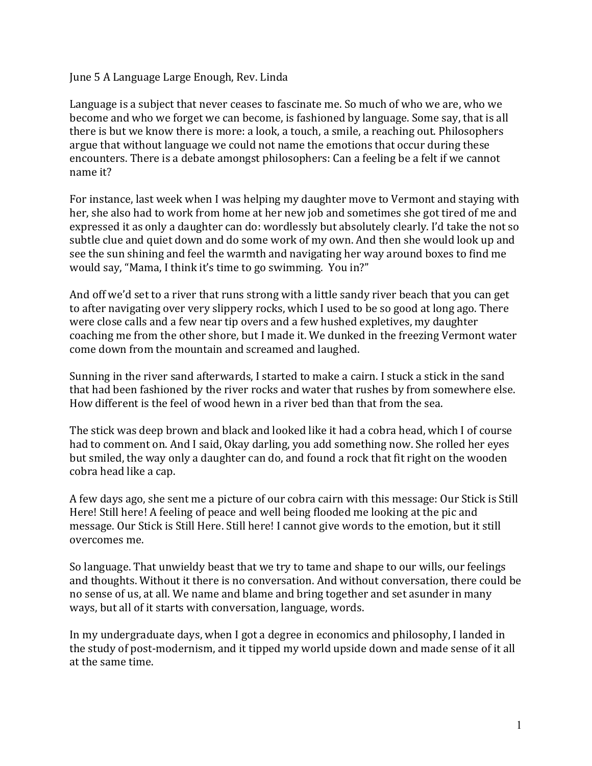## June 5 A Language Large Enough, Rev. Linda

Language is a subject that never ceases to fascinate me. So much of who we are, who we become and who we forget we can become, is fashioned by language. Some say, that is all there is but we know there is more: a look, a touch, a smile, a reaching out. Philosophers argue that without language we could not name the emotions that occur during these encounters. There is a debate amongst philosophers: Can a feeling be a felt if we cannot name it?

For instance, last week when I was helping my daughter move to Vermont and staying with her, she also had to work from home at her new job and sometimes she got tired of me and expressed it as only a daughter can do: wordlessly but absolutely clearly. I'd take the not so subtle clue and quiet down and do some work of my own. And then she would look up and see the sun shining and feel the warmth and navigating her way around boxes to find me would say, "Mama, I think it's time to go swimming. You in?"

And off we'd set to a river that runs strong with a little sandy river beach that you can get to after navigating over very slippery rocks, which I used to be so good at long ago. There were close calls and a few near tip overs and a few hushed expletives, my daughter coaching me from the other shore, but I made it. We dunked in the freezing Vermont water come down from the mountain and screamed and laughed.

Sunning in the river sand afterwards, I started to make a cairn. I stuck a stick in the sand that had been fashioned by the river rocks and water that rushes by from somewhere else. How different is the feel of wood hewn in a river bed than that from the sea.

The stick was deep brown and black and looked like it had a cobra head, which I of course had to comment on. And I said, Okay darling, you add something now. She rolled her eyes but smiled, the way only a daughter can do, and found a rock that fit right on the wooden cobra head like a cap.

A few days ago, she sent me a picture of our cobra cairn with this message: Our Stick is Still Here! Still here! A feeling of peace and well being flooded me looking at the pic and message. Our Stick is Still Here. Still here! I cannot give words to the emotion, but it still overcomes me. 

So language. That unwieldy beast that we try to tame and shape to our wills, our feelings and thoughts. Without it there is no conversation. And without conversation, there could be no sense of us, at all. We name and blame and bring together and set asunder in many ways, but all of it starts with conversation, language, words.

In my undergraduate days, when I got a degree in economics and philosophy, I landed in the study of post-modernism, and it tipped my world upside down and made sense of it all at the same time.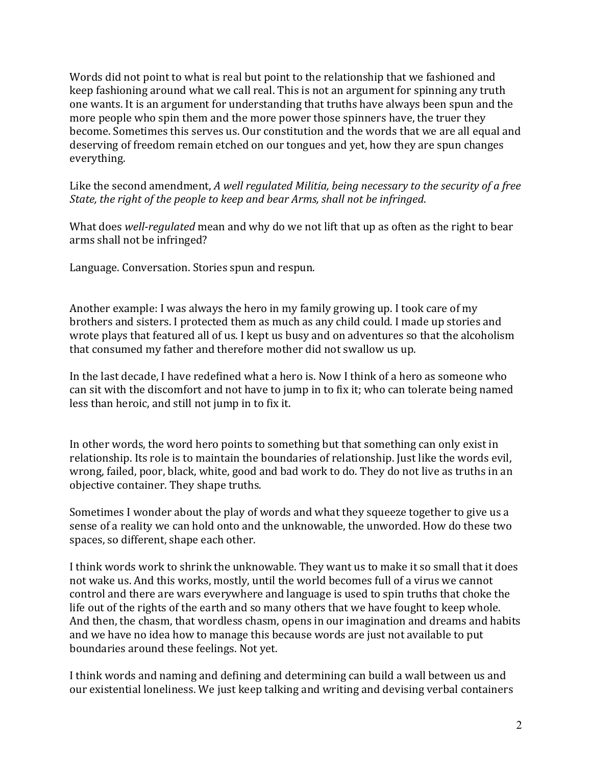Words did not point to what is real but point to the relationship that we fashioned and keep fashioning around what we call real. This is not an argument for spinning any truth one wants. It is an argument for understanding that truths have always been spun and the more people who spin them and the more power those spinners have, the truer they become. Sometimes this serves us. Our constitution and the words that we are all equal and deserving of freedom remain etched on our tongues and yet, how they are spun changes everything. 

Like the second amendment, *A* well regulated Militia, being necessary to the security of a free *State, the right of the people to keep and bear Arms, shall not be infringed.* 

What does *well-regulated* mean and why do we not lift that up as often as the right to bear arms shall not be infringed?

Language. Conversation. Stories spun and respun.

Another example: I was always the hero in my family growing up. I took care of my brothers and sisters. I protected them as much as any child could. I made up stories and wrote plays that featured all of us. I kept us busy and on adventures so that the alcoholism that consumed my father and therefore mother did not swallow us up.

In the last decade, I have redefined what a hero is. Now I think of a hero as someone who can sit with the discomfort and not have to jump in to fix it; who can tolerate being named less than heroic, and still not jump in to fix it.

In other words, the word hero points to something but that something can only exist in relationship. Its role is to maintain the boundaries of relationship. Just like the words evil, wrong, failed, poor, black, white, good and bad work to do. They do not live as truths in an objective container. They shape truths.

Sometimes I wonder about the play of words and what they squeeze together to give us a sense of a reality we can hold onto and the unknowable, the unworded. How do these two spaces, so different, shape each other.

I think words work to shrink the unknowable. They want us to make it so small that it does not wake us. And this works, mostly, until the world becomes full of a virus we cannot control and there are wars everywhere and language is used to spin truths that choke the life out of the rights of the earth and so many others that we have fought to keep whole. And then, the chasm, that wordless chasm, opens in our imagination and dreams and habits and we have no idea how to manage this because words are just not available to put boundaries around these feelings. Not yet.

I think words and naming and defining and determining can build a wall between us and our existential loneliness. We just keep talking and writing and devising verbal containers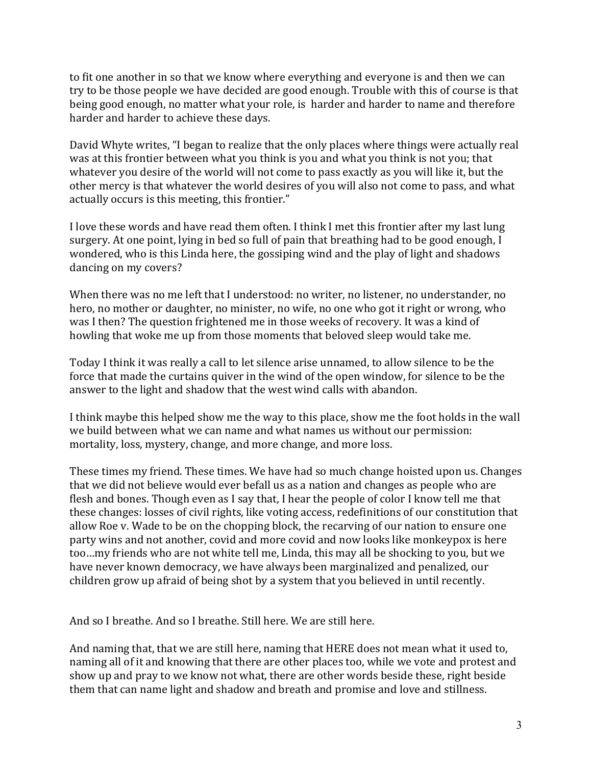to fit one another in so that we know where everything and everyone is and then we can try to be those people we have decided are good enough. Trouble with this of course is that being good enough, no matter what your role, is harder and harder to name and therefore harder and harder to achieve these days.

David Whyte writes, "I began to realize that the only places where things were actually real was at this frontier between what you think is you and what you think is not you; that whatever you desire of the world will not come to pass exactly as you will like it, but the other mercy is that whatever the world desires of you will also not come to pass, and what actually occurs is this meeting, this frontier."

I love these words and have read them often. I think I met this frontier after my last lung surgery. At one point, lying in bed so full of pain that breathing had to be good enough, I wondered, who is this Linda here, the gossiping wind and the play of light and shadows dancing on my covers?

When there was no me left that I understood: no writer, no listener, no understander, no hero, no mother or daughter, no minister, no wife, no one who got it right or wrong, who was I then? The question frightened me in those weeks of recovery. It was a kind of howling that woke me up from those moments that beloved sleep would take me.

Today I think it was really a call to let silence arise unnamed, to allow silence to be the force that made the curtains quiver in the wind of the open window, for silence to be the answer to the light and shadow that the west wind calls with abandon.

I think maybe this helped show me the way to this place, show me the foot holds in the wall we build between what we can name and what names us without our permission: mortality, loss, mystery, change, and more change, and more loss.

These times my friend. These times. We have had so much change hoisted upon us. Changes that we did not believe would ever befall us as a nation and changes as people who are flesh and bones. Though even as I say that, I hear the people of color I know tell me that these changes: losses of civil rights, like voting access, redefinitions of our constitution that allow Roe v. Wade to be on the chopping block, the recarving of our nation to ensure one party wins and not another, covid and more covid and now looks like monkeypox is here too ...my friends who are not white tell me, Linda, this may all be shocking to you, but we have never known democracy, we have always been marginalized and penalized, our children grow up afraid of being shot by a system that you believed in until recently.

And so I breathe. And so I breathe. Still here. We are still here.

And naming that, that we are still here, naming that HERE does not mean what it used to, naming all of it and knowing that there are other places too, while we vote and protest and show up and pray to we know not what, there are other words beside these, right beside them that can name light and shadow and breath and promise and love and stillness.